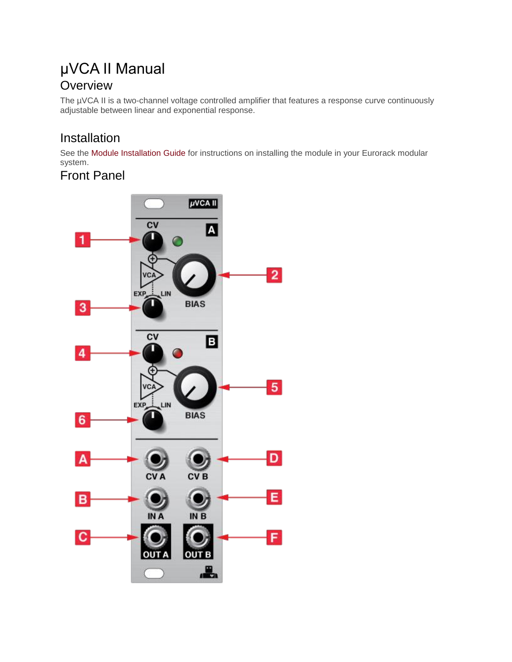## µVCA II Manual **Overview**

The µVCA II is a two-channel voltage controlled amplifier that features a response curve continuously adjustable between linear and exponential response.

## Installation

See the Module [Installation](https://intellijel.com/all-manuals/module-installation-guide/) Guide for instructions on installing the module in your Eurorack modular system.

Front Panel